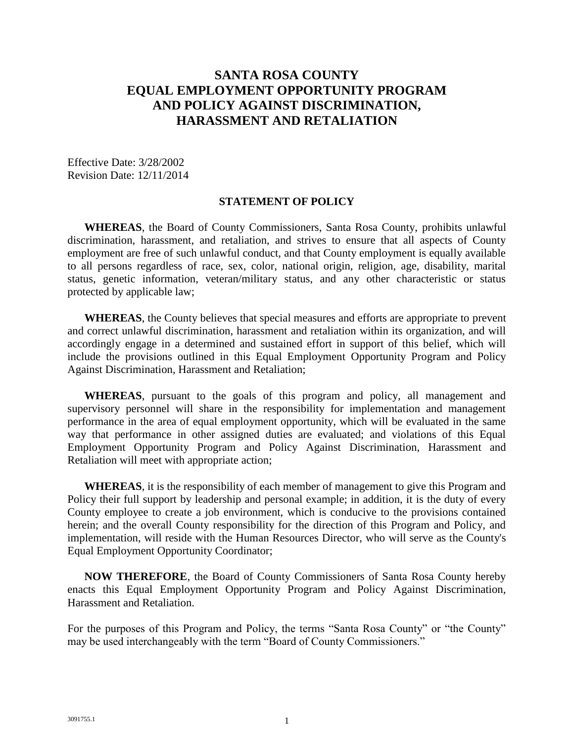# **SANTA ROSA COUNTY EQUAL EMPLOYMENT OPPORTUNITY PROGRAM AND POLICY AGAINST DISCRIMINATION, HARASSMENT AND RETALIATION**

Effective Date: 3/28/2002 Revision Date: 12/11/2014

#### **STATEMENT OF POLICY**

 **WHEREAS**, the Board of County Commissioners, Santa Rosa County, prohibits unlawful discrimination, harassment, and retaliation, and strives to ensure that all aspects of County employment are free of such unlawful conduct, and that County employment is equally available status, genetic information, veteran/military status, and any other characteristic or status to all persons regardless of race, sex, color, national origin, religion, age, disability, marital protected by applicable law;

 **WHEREAS**, the County believes that special measures and efforts are appropriate to prevent accordingly engage in a determined and sustained effort in support of this belief, which will and correct unlawful discrimination, harassment and retaliation within its organization, and will include the provisions outlined in this Equal Employment Opportunity Program and Policy Against Discrimination, Harassment and Retaliation;

 supervisory personnel will share in the responsibility for implementation and management performance in the area of equal employment opportunity, which will be evaluated in the same way that performance in other assigned duties are evaluated; and violations of this Equal Employment Opportunity Program and Policy Against Discrimination, Harassment and **WHEREAS**, pursuant to the goals of this program and policy, all management and Retaliation will meet with appropriate action;

 Policy their full support by leadership and personal example; in addition, it is the duty of every County employee to create a job environment, which is conducive to the provisions contained herein; and the overall County responsibility for the direction of this Program and Policy, and implementation, will reside with the Human Resources Director, who will serve as the County's **WHEREAS**, it is the responsibility of each member of management to give this Program and Equal Employment Opportunity Coordinator;

 **NOW THEREFORE**, the Board of County Commissioners of Santa Rosa County hereby enacts this Equal Employment Opportunity Program and Policy Against Discrimination, Harassment and Retaliation.

 For the purposes of this Program and Policy, the terms "Santa Rosa County" or "the County" may be used interchangeably with the term "Board of County Commissioners."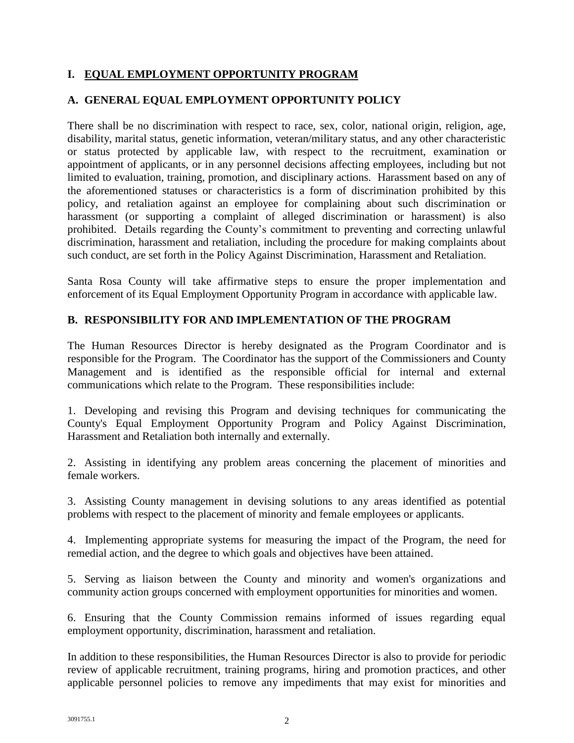# **I. EQUAL EMPLOYMENT OPPORTUNITY PROGRAM**

# **A. GENERAL EQUAL EMPLOYMENT OPPORTUNITY POLICY**

 There shall be no discrimination with respect to race, sex, color, national origin, religion, age, limited to evaluation, training, promotion, and disciplinary actions. Harassment based on any of the aforementioned statuses or characteristics is a form of discrimination prohibited by this harassment (or supporting a complaint of alleged discrimination or harassment) is also prohibited. Details regarding the County's commitment to preventing and correcting unlawful discrimination, harassment and retaliation, including the procedure for making complaints about disability, marital status, genetic information, veteran/military status, and any other characteristic or status protected by applicable law, with respect to the recruitment, examination or appointment of applicants, or in any personnel decisions affecting employees, including but not policy, and retaliation against an employee for complaining about such discrimination or such conduct, are set forth in the Policy Against Discrimination, Harassment and Retaliation.

 Santa Rosa County will take affirmative steps to ensure the proper implementation and enforcement of its Equal Employment Opportunity Program in accordance with applicable law.

# **B. RESPONSIBILITY FOR AND IMPLEMENTATION OF THE PROGRAM**

 The Human Resources Director is hereby designated as the Program Coordinator and is responsible for the Program. The Coordinator has the support of the Commissioners and County Management and is identified as the responsible official for internal and external communications which relate to the Program. These responsibilities include:

 1. Developing and revising this Program and devising techniques for communicating the County's Equal Employment Opportunity Program and Policy Against Discrimination, Harassment and Retaliation both internally and externally.

 2. Assisting in identifying any problem areas concerning the placement of minorities and female workers.

 3. Assisting County management in devising solutions to any areas identified as potential problems with respect to the placement of minority and female employees or applicants.

 4. Implementing appropriate systems for measuring the impact of the Program, the need for remedial action, and the degree to which goals and objectives have been attained.

 5. Serving as liaison between the County and minority and women's organizations and community action groups concerned with employment opportunities for minorities and women.

 6. Ensuring that the County Commission remains informed of issues regarding equal employment opportunity, discrimination, harassment and retaliation.

 In addition to these responsibilities, the Human Resources Director is also to provide for periodic applicable personnel policies to remove any impediments that may exist for minorities and review of applicable recruitment, training programs, hiring and promotion practices, and other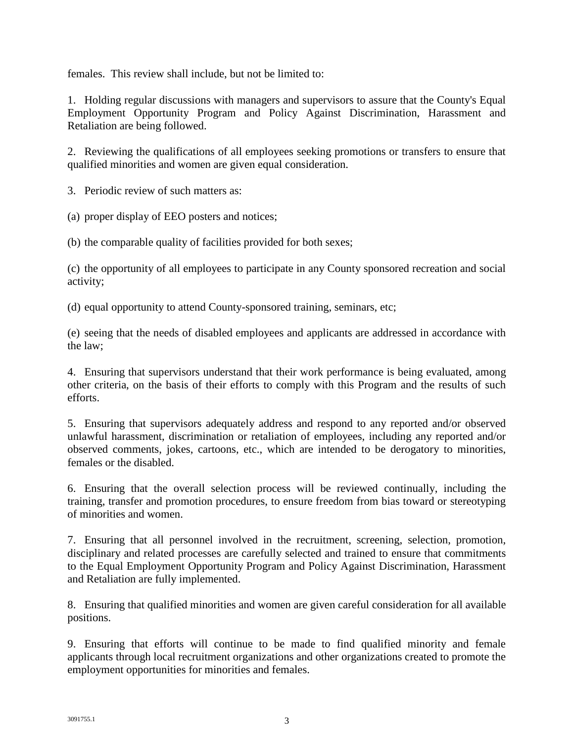females. This review shall include, but not be limited to:

 1. Holding regular discussions with managers and supervisors to assure that the County's Equal Employment Opportunity Program and Policy Against Discrimination, Harassment and Retaliation are being followed.

 2. Reviewing the qualifications of all employees seeking promotions or transfers to ensure that qualified minorities and women are given equal consideration.

3. Periodic review of such matters as:

- (a) proper display of EEO posters and notices;
- (b) the comparable quality of facilities provided for both sexes;

 (c) the opportunity of all employees to participate in any County sponsored recreation and social activity;

(d) equal opportunity to attend County-sponsored training, seminars, etc;

(e) seeing that the needs of disabled employees and applicants are addressed in accordance with the law;

 4. Ensuring that supervisors understand that their work performance is being evaluated, among other criteria, on the basis of their efforts to comply with this Program and the results of such efforts.

 5. Ensuring that supervisors adequately address and respond to any reported and/or observed observed comments, jokes, cartoons, etc., which are intended to be derogatory to minorities, unlawful harassment, discrimination or retaliation of employees, including any reported and/or females or the disabled.

 6. Ensuring that the overall selection process will be reviewed continually, including the training, transfer and promotion procedures, to ensure freedom from bias toward or stereotyping of minorities and women.

 disciplinary and related processes are carefully selected and trained to ensure that commitments to the Equal Employment Opportunity Program and Policy Against Discrimination, Harassment 7. Ensuring that all personnel involved in the recruitment, screening, selection, promotion, and Retaliation are fully implemented.

8. Ensuring that qualified minorities and women are given careful consideration for all available positions.

 9. Ensuring that efforts will continue to be made to find qualified minority and female applicants through local recruitment organizations and other organizations created to promote the employment opportunities for minorities and females.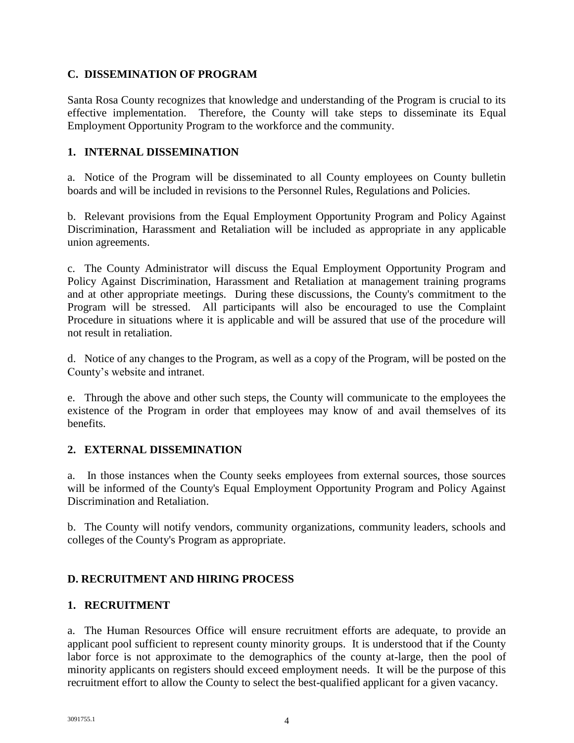# **C. DISSEMINATION OF PROGRAM**

 Santa Rosa County recognizes that knowledge and understanding of the Program is crucial to its effective implementation. Therefore, the County will take steps to disseminate its Equal Employment Opportunity Program to the workforce and the community.

### **1. INTERNAL DISSEMINATION**

 a. Notice of the Program will be disseminated to all County employees on County bulletin boards and will be included in revisions to the Personnel Rules, Regulations and Policies.

 b. Relevant provisions from the Equal Employment Opportunity Program and Policy Against Discrimination, Harassment and Retaliation will be included as appropriate in any applicable union agreements.

 c. The County Administrator will discuss the Equal Employment Opportunity Program and Policy Against Discrimination, Harassment and Retaliation at management training programs and at other appropriate meetings. During these discussions, the County's commitment to the Program will be stressed. All participants will also be encouraged to use the Complaint Procedure in situations where it is applicable and will be assured that use of the procedure will not result in retaliation.

d. Notice of any changes to the Program, as well as a copy of the Program, will be posted on the County's website and intranet.

 e. Through the above and other such steps, the County will communicate to the employees the existence of the Program in order that employees may know of and avail themselves of its benefits.

# **2. EXTERNAL DISSEMINATION**

 a. In those instances when the County seeks employees from external sources, those sources will be informed of the County's Equal Employment Opportunity Program and Policy Against Discrimination and Retaliation.

 b. The County will notify vendors, community organizations, community leaders, schools and colleges of the County's Program as appropriate.

# **D. RECRUITMENT AND HIRING PROCESS**

### **1. RECRUITMENT**

 a. The Human Resources Office will ensure recruitment efforts are adequate, to provide an applicant pool sufficient to represent county minority groups. It is understood that if the County labor force is not approximate to the demographics of the county at-large, then the pool of minority applicants on registers should exceed employment needs. It will be the purpose of this recruitment effort to allow the County to select the best-qualified applicant for a given vacancy.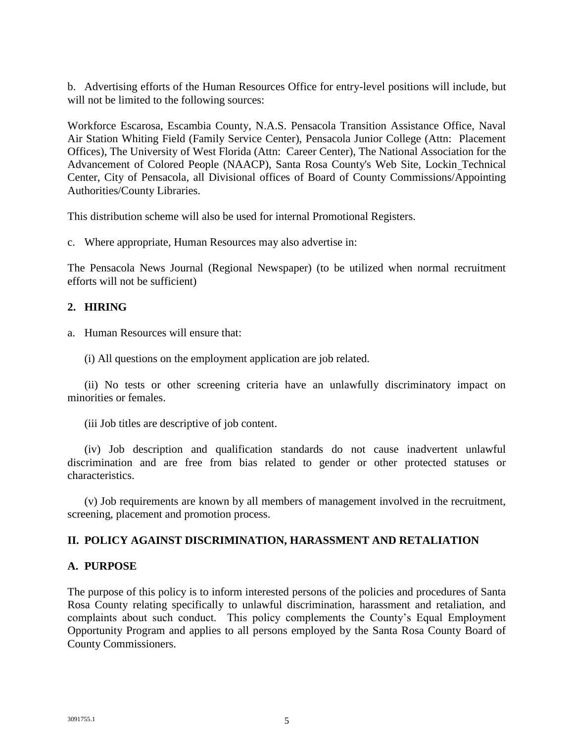b. Advertising efforts of the Human Resources Office for entry-level positions will include, but will not be limited to the following sources:

 Workforce Escarosa, Escambia County, N.A.S. Pensacola Transition Assistance Office, Naval Air Station Whiting Field (Family Service Center), Pensacola Junior College (Attn: Placement Advancement of Colored People (NAACP), Santa Rosa County's Web Site, Lockin Technical Authorities/County Libraries. Offices), The University of West Florida (Attn: Career Center), The National Association for the Center, City of Pensacola, all Divisional offices of Board of County Commissions/Appointing

This distribution scheme will also be used for internal Promotional Registers.

c. Where appropriate, Human Resources may also advertise in:

 The Pensacola News Journal (Regional Newspaper) (to be utilized when normal recruitment efforts will not be sufficient)

### **2. HIRING**

- a. Human Resources will ensure that:
	- (i) All questions on the employment application are job related.

 (ii) No tests or other screening criteria have an unlawfully discriminatory impact on minorities or females.

(iii Job titles are descriptive of job content.

 discrimination and are free from bias related to gender or other protected statuses or (iv) Job description and qualification standards do not cause inadvertent unlawful characteristics.

(v) Job requirements are known by all members of management involved in the recruitment, screening, placement and promotion process.

### **II. POLICY AGAINST DISCRIMINATION, HARASSMENT AND RETALIATION**

### **A. PURPOSE**

 The purpose of this policy is to inform interested persons of the policies and procedures of Santa Rosa County relating specifically to unlawful discrimination, harassment and retaliation, and complaints about such conduct. This policy complements the County's Equal Employment Opportunity Program and applies to all persons employed by the Santa Rosa County Board of County Commissioners.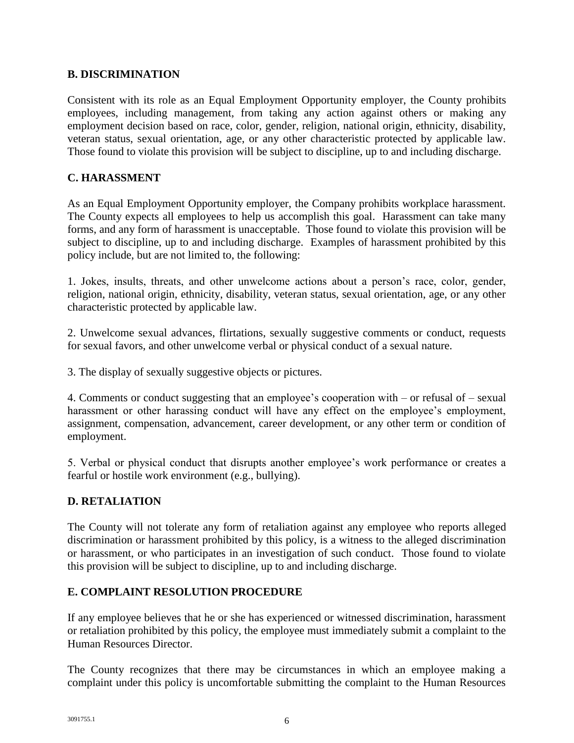### **B. DISCRIMINATION**

 Consistent with its role as an Equal Employment Opportunity employer, the County prohibits employees, including management, from taking any action against others or making any veteran status, sexual orientation, age, or any other characteristic protected by applicable law. employment decision based on race, color, gender, religion, national origin, ethnicity, disability, Those found to violate this provision will be subject to discipline, up to and including discharge.

### **C. HARASSMENT**

 As an Equal Employment Opportunity employer, the Company prohibits workplace harassment. The County expects all employees to help us accomplish this goal. Harassment can take many forms, and any form of harassment is unacceptable. Those found to violate this provision will be subject to discipline, up to and including discharge. Examples of harassment prohibited by this policy include, but are not limited to, the following:

 1. Jokes, insults, threats, and other unwelcome actions about a person's race, color, gender, religion, national origin, ethnicity, disability, veteran status, sexual orientation, age, or any other characteristic protected by applicable law.

 2. Unwelcome sexual advances, flirtations, sexually suggestive comments or conduct, requests for sexual favors, and other unwelcome verbal or physical conduct of a sexual nature.

3. The display of sexually suggestive objects or pictures.

harassment or other harassing conduct will have any effect on the employee's employment, assignment, compensation, advancement, career development, or any other term or condition of 4. Comments or conduct suggesting that an employee's cooperation with – or refusal of – sexual employment.

 5. Verbal or physical conduct that disrupts another employee's work performance or creates a fearful or hostile work environment (e.g., bullying).

### **D. RETALIATION**

 The County will not tolerate any form of retaliation against any employee who reports alleged discrimination or harassment prohibited by this policy, is a witness to the alleged discrimination or harassment, or who participates in an investigation of such conduct. Those found to violate this provision will be subject to discipline, up to and including discharge.

### **E. COMPLAINT RESOLUTION PROCEDURE**

 If any employee believes that he or she has experienced or witnessed discrimination, harassment or retaliation prohibited by this policy, the employee must immediately submit a complaint to the Human Resources Director.

 The County recognizes that there may be circumstances in which an employee making a complaint under this policy is uncomfortable submitting the complaint to the Human Resources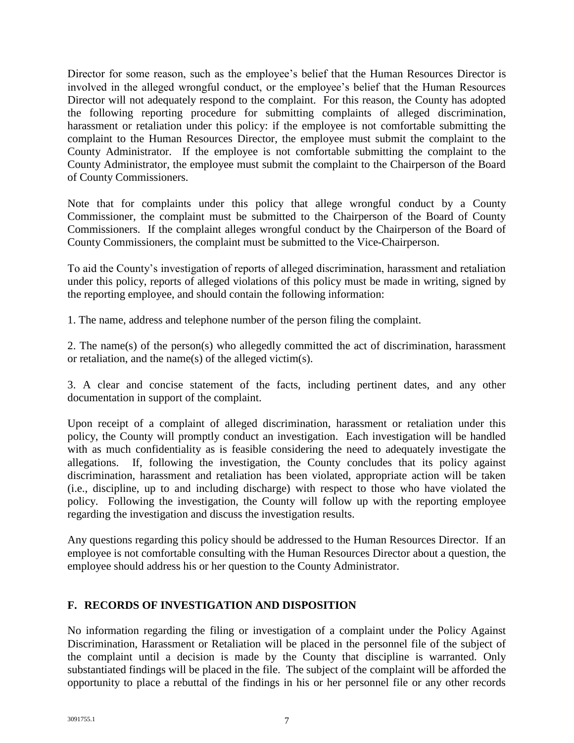Director will not adequately respond to the complaint. For this reason, the County has adopted the following reporting procedure for submitting complaints of alleged discrimination, harassment or retaliation under this policy: if the employee is not comfortable submitting the complaint to the Human Resources Director, the employee must submit the complaint to the County Administrator. If the employee is not comfortable submitting the complaint to the County Administrator, the employee must submit the complaint to the Chairperson of the Board Director for some reason, such as the employee's belief that the Human Resources Director is involved in the alleged wrongful conduct, or the employee's belief that the Human Resources of County Commissioners.

 Note that for complaints under this policy that allege wrongful conduct by a County Commissioner, the complaint must be submitted to the Chairperson of the Board of County Commissioners. If the complaint alleges wrongful conduct by the Chairperson of the Board of County Commissioners, the complaint must be submitted to the Vice-Chairperson.

 under this policy, reports of alleged violations of this policy must be made in writing, signed by To aid the County's investigation of reports of alleged discrimination, harassment and retaliation the reporting employee, and should contain the following information:

1. The name, address and telephone number of the person filing the complaint.

2. The name(s) of the person(s) who allegedly committed the act of discrimination, harassment or retaliation, and the name(s) of the alleged victim(s).

 3. A clear and concise statement of the facts, including pertinent dates, and any other documentation in support of the complaint.

 Upon receipt of a complaint of alleged discrimination, harassment or retaliation under this policy, the County will promptly conduct an investigation. Each investigation will be handled with as much confidentiality as is feasible considering the need to adequately investigate the allegations. If, following the investigation, the County concludes that its policy against discrimination, harassment and retaliation has been violated, appropriate action will be taken (i.e., discipline, up to and including discharge) with respect to those who have violated the policy. Following the investigation, the County will follow up with the reporting employee regarding the investigation and discuss the investigation results.

 Any questions regarding this policy should be addressed to the Human Resources Director. If an employee is not comfortable consulting with the Human Resources Director about a question, the employee should address his or her question to the County Administrator.

# **F. RECORDS OF INVESTIGATION AND DISPOSITION**

 No information regarding the filing or investigation of a complaint under the Policy Against Discrimination, Harassment or Retaliation will be placed in the personnel file of the subject of the complaint until a decision is made by the County that discipline is warranted. Only opportunity to place a rebuttal of the findings in his or her personnel file or any other records substantiated findings will be placed in the file. The subject of the complaint will be afforded the